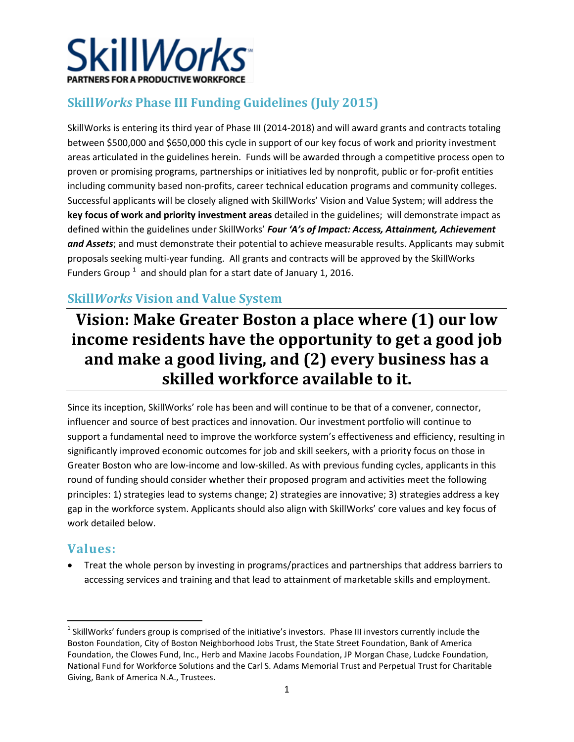

# **Skill***Works* **Phase III Funding Guidelines (July 2015)**

SkillWorks is entering its third year of Phase III (2014-2018) and will award grants and contracts totaling between \$500,000 and \$650,000 this cycle in support of our key focus of work and priority investment areas articulated in the guidelines herein. Funds will be awarded through a competitive process open to proven or promising programs, partnerships or initiatives led by nonprofit, public or for-profit entities including community based non-profits, career technical education programs and community colleges. Successful applicants will be closely aligned with SkillWorks' Vision and Value System; will address the **key focus of work and priority investment areas** detailed in the guidelines; will demonstrate impact as defined within the guidelines under SkillWorks' *Four 'A's of Impact: Access, Attainment, Achievement and Assets*; and must demonstrate their potential to achieve measurable results. Applicants may submit proposals seeking multi-year funding. All grants and contracts will be approved by the SkillWorks Funders Group  $^1$  $^1$  and should plan for a start date of January 1, 2016.

# **Skill***Works* **Vision and Value System**

# **Vision: Make Greater Boston a place where (1) our low income residents have the opportunity to get a good job and make a good living, and (2) every business has a skilled workforce available to it.**

Since its inception, SkillWorks' role has been and will continue to be that of a convener, connector, influencer and source of best practices and innovation. Our investment portfolio will continue to support a fundamental need to improve the workforce system's effectiveness and efficiency, resulting in significantly improved economic outcomes for job and skill seekers, with a priority focus on those in Greater Boston who are low-income and low-skilled. As with previous funding cycles, applicants in this round of funding should consider whether their proposed program and activities meet the following principles: 1) strategies lead to systems change; 2) strategies are innovative; 3) strategies address a key gap in the workforce system. Applicants should also align with SkillWorks' core values and key focus of work detailed below.

# **Values:**

 $\overline{\phantom{a}}$ 

• Treat the whole person by investing in programs/practices and partnerships that address barriers to accessing services and training and that lead to attainment of marketable skills and employment.

<span id="page-0-0"></span> $1$  SkillWorks' funders group is comprised of the initiative's investors. Phase III investors currently include the Boston Foundation, City of Boston Neighborhood Jobs Trust, the State Street Foundation, Bank of America Foundation, the Clowes Fund, Inc., Herb and Maxine Jacobs Foundation, JP Morgan Chase, Ludcke Foundation, National Fund for Workforce Solutions and the Carl S. Adams Memorial Trust and Perpetual Trust for Charitable Giving, Bank of America N.A., Trustees.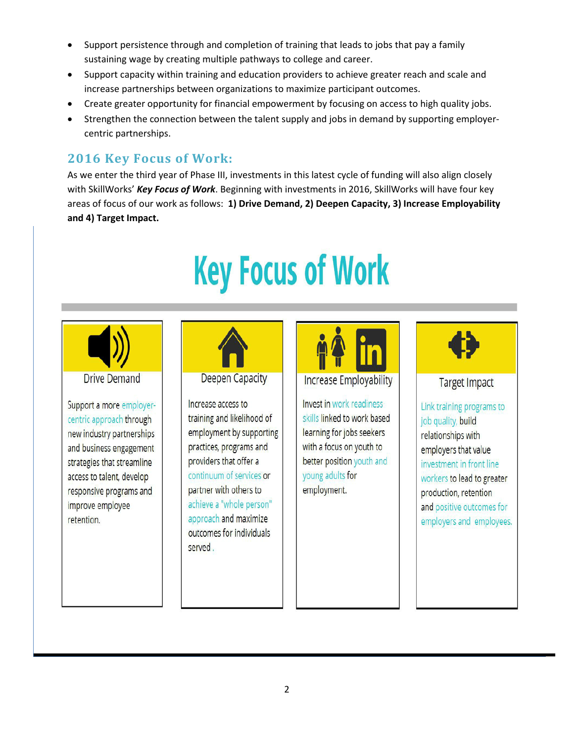- Support persistence through and completion of training that leads to jobs that pay a family sustaining wage by creating multiple pathways to college and career.
- Support capacity within training and education providers to achieve greater reach and scale and increase partnerships between organizations to maximize participant outcomes.
- Create greater opportunity for financial empowerment by focusing on access to high quality jobs.
- Strengthen the connection between the talent supply and jobs in demand by supporting employercentric partnerships.

# **2016 Key Focus of Work:**

As we enter the third year of Phase III, investments in this latest cycle of funding will also align closely with SkillWorks' *Key Focus of Work*. Beginning with investments in 2016, SkillWorks will have four key areas of focus of our work as follows: **1) Drive Demand, 2) Deepen Capacity, 3) Increase Employability and 4) Target Impact.** 

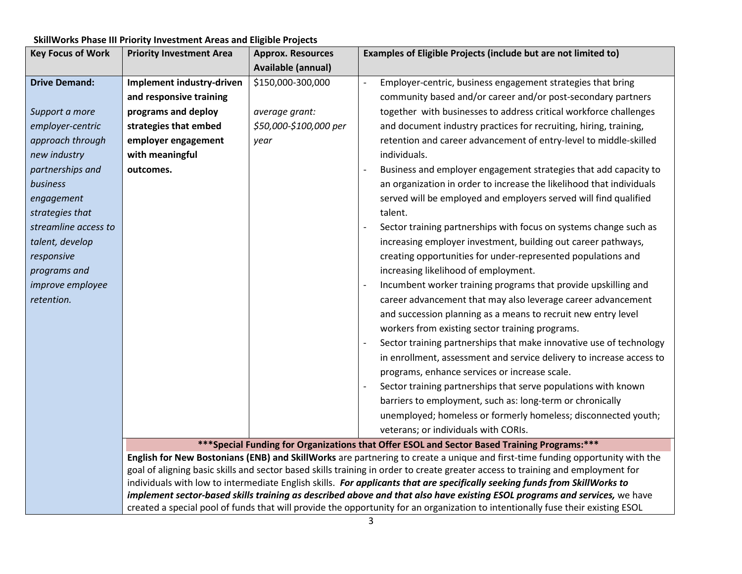| <b>Key Focus of Work</b> | <b>Priority Investment Area</b> | <b>Approx. Resources</b> | Examples of Eligible Projects (include but are not limited to)                                                                                                                                                                                          |
|--------------------------|---------------------------------|--------------------------|---------------------------------------------------------------------------------------------------------------------------------------------------------------------------------------------------------------------------------------------------------|
|                          |                                 | Available (annual)       |                                                                                                                                                                                                                                                         |
| <b>Drive Demand:</b>     | Implement industry-driven       | \$150,000-300,000        | Employer-centric, business engagement strategies that bring                                                                                                                                                                                             |
|                          | and responsive training         |                          | community based and/or career and/or post-secondary partners                                                                                                                                                                                            |
| Support a more           | programs and deploy             | average grant:           | together with businesses to address critical workforce challenges                                                                                                                                                                                       |
| employer-centric         | strategies that embed           | \$50,000-\$100,000 per   | and document industry practices for recruiting, hiring, training,                                                                                                                                                                                       |
| approach through         | employer engagement             | year                     | retention and career advancement of entry-level to middle-skilled                                                                                                                                                                                       |
| new industry             | with meaningful                 |                          | individuals.                                                                                                                                                                                                                                            |
| partnerships and         | outcomes.                       |                          | Business and employer engagement strategies that add capacity to                                                                                                                                                                                        |
| business                 |                                 |                          | an organization in order to increase the likelihood that individuals                                                                                                                                                                                    |
| engagement               |                                 |                          | served will be employed and employers served will find qualified                                                                                                                                                                                        |
| strategies that          |                                 |                          | talent.                                                                                                                                                                                                                                                 |
| streamline access to     |                                 |                          | Sector training partnerships with focus on systems change such as                                                                                                                                                                                       |
| talent, develop          |                                 |                          | increasing employer investment, building out career pathways,                                                                                                                                                                                           |
| responsive               |                                 |                          | creating opportunities for under-represented populations and                                                                                                                                                                                            |
| programs and             |                                 |                          | increasing likelihood of employment.                                                                                                                                                                                                                    |
| <i>improve employee</i>  |                                 |                          | Incumbent worker training programs that provide upskilling and                                                                                                                                                                                          |
| retention.               |                                 |                          | career advancement that may also leverage career advancement                                                                                                                                                                                            |
|                          |                                 |                          | and succession planning as a means to recruit new entry level                                                                                                                                                                                           |
|                          |                                 |                          | workers from existing sector training programs.                                                                                                                                                                                                         |
|                          |                                 |                          | Sector training partnerships that make innovative use of technology                                                                                                                                                                                     |
|                          |                                 |                          | in enrollment, assessment and service delivery to increase access to                                                                                                                                                                                    |
|                          |                                 |                          | programs, enhance services or increase scale.                                                                                                                                                                                                           |
|                          |                                 |                          | Sector training partnerships that serve populations with known                                                                                                                                                                                          |
|                          |                                 |                          | barriers to employment, such as: long-term or chronically                                                                                                                                                                                               |
|                          |                                 |                          | unemployed; homeless or formerly homeless; disconnected youth;                                                                                                                                                                                          |
|                          |                                 |                          | veterans; or individuals with CORIs.                                                                                                                                                                                                                    |
|                          |                                 |                          | *** Special Funding for Organizations that Offer ESOL and Sector Based Training Programs:***                                                                                                                                                            |
|                          |                                 |                          | English for New Bostonians (ENB) and SkillWorks are partnering to create a unique and first-time funding opportunity with the                                                                                                                           |
|                          |                                 |                          | goal of aligning basic skills and sector based skills training in order to create greater access to training and employment for                                                                                                                         |
|                          |                                 |                          | individuals with low to intermediate English skills. For applicants that are specifically seeking funds from SkillWorks to<br>implement sector-based skills training as described above and that also have existing ESOL programs and services, we have |
|                          |                                 |                          | created a special pool of funds that will provide the opportunity for an organization to intentionally fuse their existing ESOL                                                                                                                         |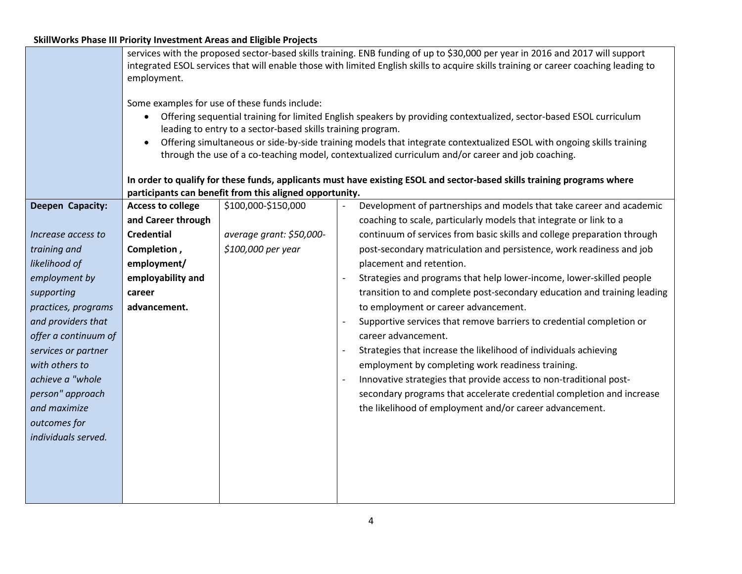|                      | services with the proposed sector-based skills training. ENB funding of up to \$30,000 per year in 2016 and 2017 will support<br>integrated ESOL services that will enable those with limited English skills to acquire skills training or career coaching leading to                                                                                                     |                          |                                                                          |  |  |
|----------------------|---------------------------------------------------------------------------------------------------------------------------------------------------------------------------------------------------------------------------------------------------------------------------------------------------------------------------------------------------------------------------|--------------------------|--------------------------------------------------------------------------|--|--|
|                      | employment.                                                                                                                                                                                                                                                                                                                                                               |                          |                                                                          |  |  |
|                      | Some examples for use of these funds include:<br>Offering sequential training for limited English speakers by providing contextualized, sector-based ESOL curriculum<br>leading to entry to a sector-based skills training program.<br>Offering simultaneous or side-by-side training models that integrate contextualized ESOL with ongoing skills training<br>$\bullet$ |                          |                                                                          |  |  |
|                      | through the use of a co-teaching model, contextualized curriculum and/or career and job coaching.                                                                                                                                                                                                                                                                         |                          |                                                                          |  |  |
|                      | In order to qualify for these funds, applicants must have existing ESOL and sector-based skills training programs where<br>participants can benefit from this aligned opportunity.                                                                                                                                                                                        |                          |                                                                          |  |  |
| Deepen Capacity:     | <b>Access to college</b>                                                                                                                                                                                                                                                                                                                                                  | \$100,000-\$150,000      | Development of partnerships and models that take career and academic     |  |  |
|                      | and Career through                                                                                                                                                                                                                                                                                                                                                        |                          | coaching to scale, particularly models that integrate or link to a       |  |  |
| Increase access to   | <b>Credential</b>                                                                                                                                                                                                                                                                                                                                                         | average grant: \$50,000- | continuum of services from basic skills and college preparation through  |  |  |
| training and         | Completion,                                                                                                                                                                                                                                                                                                                                                               | \$100,000 per year       | post-secondary matriculation and persistence, work readiness and job     |  |  |
| likelihood of        | employment/                                                                                                                                                                                                                                                                                                                                                               |                          | placement and retention.                                                 |  |  |
| employment by        | employability and                                                                                                                                                                                                                                                                                                                                                         |                          | Strategies and programs that help lower-income, lower-skilled people     |  |  |
| supporting           | career                                                                                                                                                                                                                                                                                                                                                                    |                          | transition to and complete post-secondary education and training leading |  |  |
| practices, programs  | advancement.                                                                                                                                                                                                                                                                                                                                                              |                          | to employment or career advancement.                                     |  |  |
| and providers that   |                                                                                                                                                                                                                                                                                                                                                                           |                          | Supportive services that remove barriers to credential completion or     |  |  |
| offer a continuum of |                                                                                                                                                                                                                                                                                                                                                                           |                          | career advancement.                                                      |  |  |
| services or partner  | Strategies that increase the likelihood of individuals achieving                                                                                                                                                                                                                                                                                                          |                          |                                                                          |  |  |
| with others to       |                                                                                                                                                                                                                                                                                                                                                                           |                          | employment by completing work readiness training.                        |  |  |
| achieve a "whole     |                                                                                                                                                                                                                                                                                                                                                                           |                          | Innovative strategies that provide access to non-traditional post-       |  |  |
| person" approach     |                                                                                                                                                                                                                                                                                                                                                                           |                          | secondary programs that accelerate credential completion and increase    |  |  |
| and maximize         |                                                                                                                                                                                                                                                                                                                                                                           |                          | the likelihood of employment and/or career advancement.                  |  |  |
| outcomes for         |                                                                                                                                                                                                                                                                                                                                                                           |                          |                                                                          |  |  |
| individuals served.  |                                                                                                                                                                                                                                                                                                                                                                           |                          |                                                                          |  |  |
|                      |                                                                                                                                                                                                                                                                                                                                                                           |                          |                                                                          |  |  |
|                      |                                                                                                                                                                                                                                                                                                                                                                           |                          |                                                                          |  |  |
|                      |                                                                                                                                                                                                                                                                                                                                                                           |                          |                                                                          |  |  |
|                      |                                                                                                                                                                                                                                                                                                                                                                           |                          |                                                                          |  |  |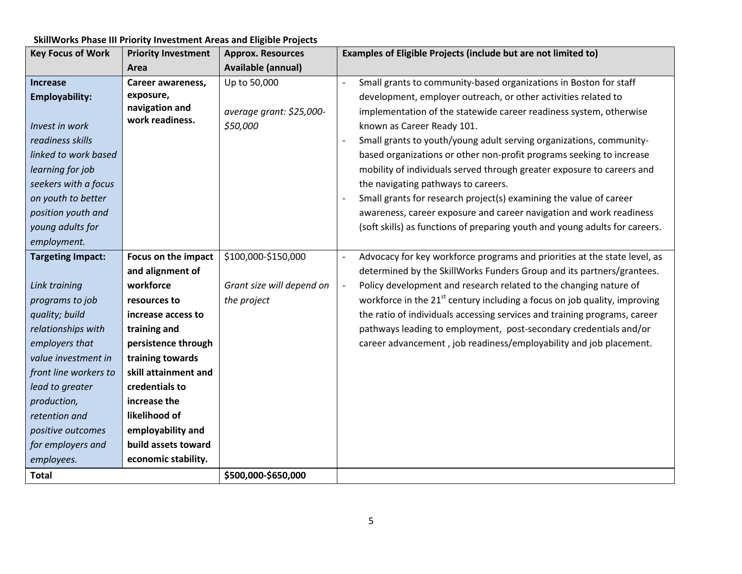| <b>Key Focus of Work</b> | <b>Priority Investment</b> | <b>Approx. Resources</b>  | Examples of Eligible Projects (include but are not limited to)                        |
|--------------------------|----------------------------|---------------------------|---------------------------------------------------------------------------------------|
|                          | Area                       | <b>Available (annual)</b> |                                                                                       |
| <b>Increase</b>          | Career awareness,          | Up to 50,000              | Small grants to community-based organizations in Boston for staff<br>$\overline{a}$   |
| <b>Employability:</b>    | exposure,                  |                           | development, employer outreach, or other activities related to                        |
|                          | navigation and             | average grant: \$25,000-  | implementation of the statewide career readiness system, otherwise                    |
| Invest in work           | work readiness.            | \$50,000                  | known as Career Ready 101.                                                            |
| readiness skills         |                            |                           | Small grants to youth/young adult serving organizations, community-                   |
| linked to work based     |                            |                           | based organizations or other non-profit programs seeking to increase                  |
| learning for job         |                            |                           | mobility of individuals served through greater exposure to careers and                |
| seekers with a focus     |                            |                           | the navigating pathways to careers.                                                   |
| on youth to better       |                            |                           | Small grants for research project(s) examining the value of career                    |
| position youth and       |                            |                           | awareness, career exposure and career navigation and work readiness                   |
| young adults for         |                            |                           | (soft skills) as functions of preparing youth and young adults for careers.           |
| employment.              |                            |                           |                                                                                       |
| <b>Targeting Impact:</b> | Focus on the impact        | \$100,000-\$150,000       | Advocacy for key workforce programs and priorities at the state level, as             |
|                          | and alignment of           |                           | determined by the SkillWorks Funders Group and its partners/grantees.                 |
| Link training            | workforce                  | Grant size will depend on | Policy development and research related to the changing nature of                     |
| programs to job          | resources to               | the project               | workforce in the 21 <sup>st</sup> century including a focus on job quality, improving |
| quality; build           | increase access to         |                           | the ratio of individuals accessing services and training programs, career             |
| relationships with       | training and               |                           | pathways leading to employment, post-secondary credentials and/or                     |
| employers that           | persistence through        |                           | career advancement, job readiness/employability and job placement.                    |
| value investment in      | training towards           |                           |                                                                                       |
| front line workers to    | skill attainment and       |                           |                                                                                       |
| lead to greater          | credentials to             |                           |                                                                                       |
| production,              | increase the               |                           |                                                                                       |
| retention and            | likelihood of              |                           |                                                                                       |
| positive outcomes        | employability and          |                           |                                                                                       |
| for employers and        | build assets toward        |                           |                                                                                       |
| employees.               | economic stability.        |                           |                                                                                       |
| <b>Total</b>             |                            | \$500,000-\$650,000       |                                                                                       |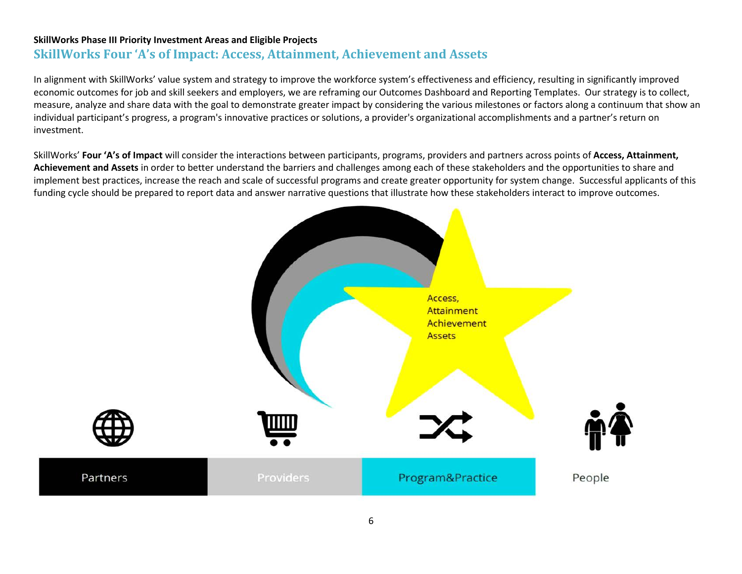# **SkillWorks Four 'A's of Impact: Access, Attainment, Achievement and Assets**

In alignment with SkillWorks' value system and strategy to improve the workforce system's effectiveness and efficiency, resulting in significantly improved economic outcomes for job and skill seekers and employers, we are reframing our Outcomes Dashboard and Reporting Templates. Our strategy is to collect, measure, analyze and share data with the goal to demonstrate greater impact by considering the various milestones or factors along a continuum that show an individual participant's progress, a program's innovative practices or solutions, a provider's organizational accomplishments and a partner's return on investment.

SkillWorks' **Four 'A's of Impact** will consider the interactions between participants, programs, providers and partners across points of **Access, Attainment, Achievement and Assets** in order to better understand the barriers and challenges among each of these stakeholders and the opportunities to share and implement best practices, increase the reach and scale of successful programs and create greater opportunity for system change. Successful applicants of this funding cycle should be prepared to report data and answer narrative questions that illustrate how these stakeholders interact to improve outcomes.

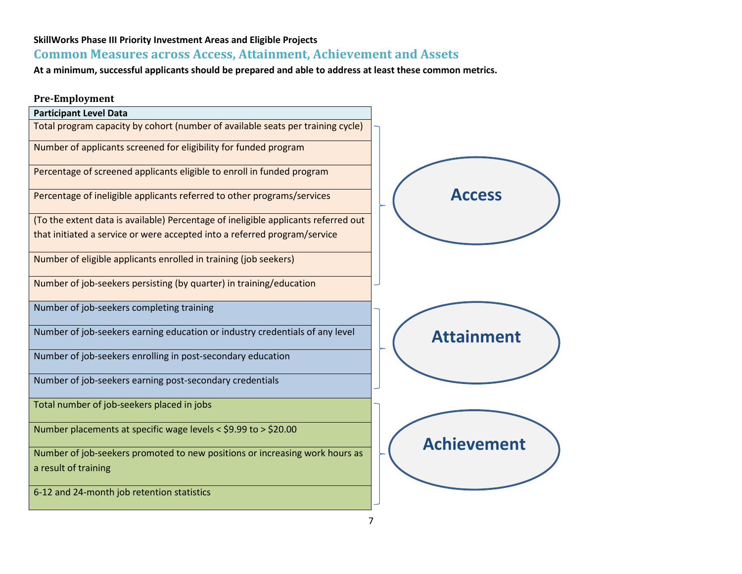# **Common Measures across Access, Attainment, Achievement and Assets**

**At a minimum, successful applicants should be prepared and able to address at least these common metrics.** 

### **Pre-Employment**

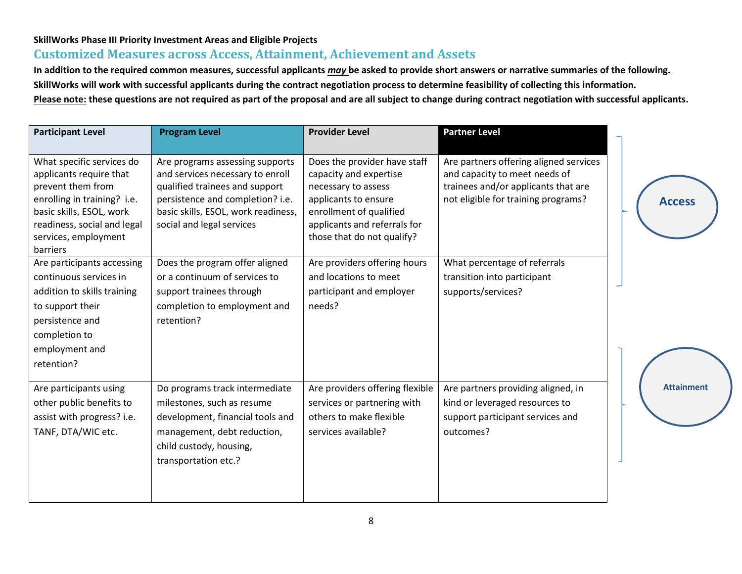# **Customized Measures across Access, Attainment, Achievement and Assets**

**In addition to the required common measures, successful applicants** *may* **be asked to provide short answers or narrative summaries of the following. SkillWorks will work with successful applicants during the contract negotiation process to determine feasibility of collecting this information. Please note: these questions are not required as part of the proposal and are all subject to change during contract negotiation with successful applicants.**

| <b>Participant Level</b>                                                                                                                                                                                | <b>Program Level</b>                                                                                                                                                                                          | <b>Provider Level</b>                                                                                                                                                                          | <b>Partner Level</b>                                                                                                                                  |                   |
|---------------------------------------------------------------------------------------------------------------------------------------------------------------------------------------------------------|---------------------------------------------------------------------------------------------------------------------------------------------------------------------------------------------------------------|------------------------------------------------------------------------------------------------------------------------------------------------------------------------------------------------|-------------------------------------------------------------------------------------------------------------------------------------------------------|-------------------|
| What specific services do<br>applicants require that<br>prevent them from<br>enrolling in training? i.e.<br>basic skills, ESOL, work<br>readiness, social and legal<br>services, employment<br>barriers | Are programs assessing supports<br>and services necessary to enroll<br>qualified trainees and support<br>persistence and completion? i.e.<br>basic skills, ESOL, work readiness,<br>social and legal services | Does the provider have staff<br>capacity and expertise<br>necessary to assess<br>applicants to ensure<br>enrollment of qualified<br>applicants and referrals for<br>those that do not qualify? | Are partners offering aligned services<br>and capacity to meet needs of<br>trainees and/or applicants that are<br>not eligible for training programs? | <b>Access</b>     |
| Are participants accessing<br>continuous services in<br>addition to skills training<br>to support their<br>persistence and<br>completion to<br>employment and<br>retention?                             | Does the program offer aligned<br>or a continuum of services to<br>support trainees through<br>completion to employment and<br>retention?                                                                     | Are providers offering hours<br>and locations to meet<br>participant and employer<br>needs?                                                                                                    | What percentage of referrals<br>transition into participant<br>supports/services?                                                                     |                   |
| Are participants using<br>other public benefits to<br>assist with progress? i.e.<br>TANF, DTA/WIC etc.                                                                                                  | Do programs track intermediate<br>milestones, such as resume<br>development, financial tools and<br>management, debt reduction,<br>child custody, housing,<br>transportation etc.?                            | Are providers offering flexible<br>services or partnering with<br>others to make flexible<br>services available?                                                                               | Are partners providing aligned, in<br>kind or leveraged resources to<br>support participant services and<br>outcomes?                                 | <b>Attainment</b> |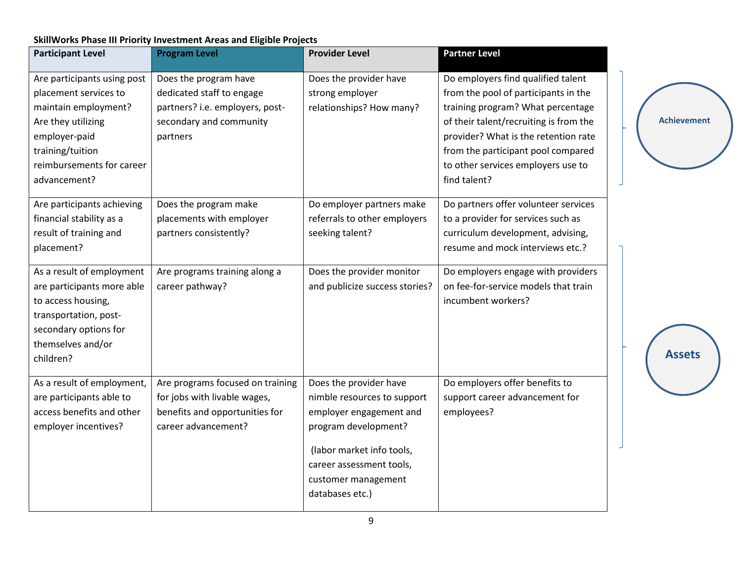| <b>Participant Level</b>    | <b>Program Level</b>             | <b>Provider Level</b>          | <b>Partner Level</b>                   |
|-----------------------------|----------------------------------|--------------------------------|----------------------------------------|
| Are participants using post | Does the program have            | Does the provider have         | Do employers find qualified talent     |
| placement services to       | dedicated staff to engage        | strong employer                | from the pool of participants in the   |
| maintain employment?        | partners? i.e. employers, post-  | relationships? How many?       | training program? What percentage      |
| Are they utilizing          | secondary and community          |                                | of their talent/recruiting is from the |
| employer-paid               | partners                         |                                | provider? What is the retention rate   |
| training/tuition            |                                  |                                | from the participant pool compared     |
| reimbursements for career   |                                  |                                | to other services employers use to     |
| advancement?                |                                  |                                | find talent?                           |
| Are participants achieving  | Does the program make            | Do employer partners make      | Do partners offer volunteer services   |
| financial stability as a    | placements with employer         | referrals to other employers   | to a provider for services such as     |
| result of training and      | partners consistently?           | seeking talent?                | curriculum development, advising,      |
| placement?                  |                                  |                                | resume and mock interviews etc.?       |
| As a result of employment   | Are programs training along a    | Does the provider monitor      | Do employers engage with providers     |
| are participants more able  | career pathway?                  | and publicize success stories? | on fee-for-service models that train   |
| to access housing,          |                                  |                                | incumbent workers?                     |
| transportation, post-       |                                  |                                |                                        |
| secondary options for       |                                  |                                |                                        |
| themselves and/or           |                                  |                                |                                        |
| children?                   |                                  |                                |                                        |
| As a result of employment,  | Are programs focused on training | Does the provider have         | Do employers offer benefits to         |
| are participants able to    | for jobs with livable wages,     | nimble resources to support    | support career advancement for         |
| access benefits and other   | benefits and opportunities for   | employer engagement and        | employees?                             |
| employer incentives?        | career advancement?              | program development?           |                                        |
|                             |                                  | (labor market info tools,      |                                        |
|                             |                                  | career assessment tools,       |                                        |
|                             |                                  | customer management            |                                        |
|                             |                                  | databases etc.)                |                                        |
|                             |                                  |                                |                                        |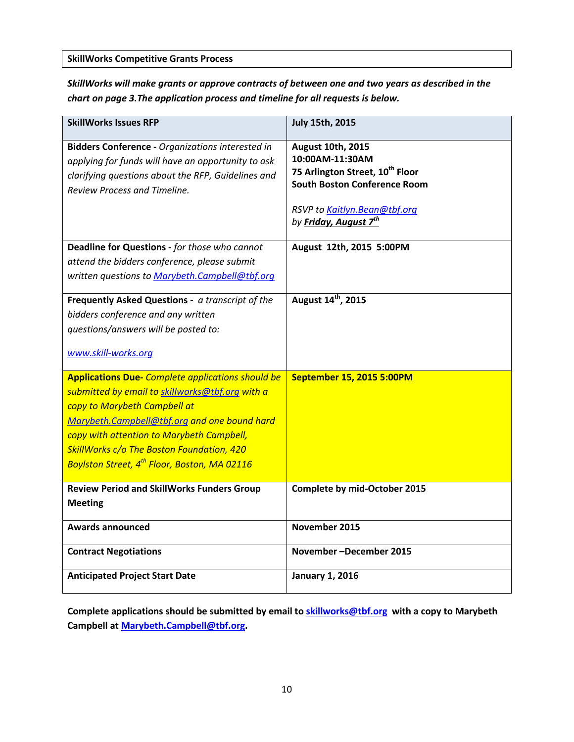**SkillWorks Competitive Grants Process**

*SkillWorks will make grants or approve contracts of between one and two years as described in the chart on page 3.The application process and timeline for all requests is below.*

| <b>SkillWorks Issues RFP</b>                                                                                                                                                                                                                                                                                                                      | <b>July 15th, 2015</b>                                                                                                                                                                                 |
|---------------------------------------------------------------------------------------------------------------------------------------------------------------------------------------------------------------------------------------------------------------------------------------------------------------------------------------------------|--------------------------------------------------------------------------------------------------------------------------------------------------------------------------------------------------------|
| <b>Bidders Conference - Organizations interested in</b><br>applying for funds will have an opportunity to ask<br>clarifying questions about the RFP, Guidelines and<br><b>Review Process and Timeline.</b>                                                                                                                                        | <b>August 10th, 2015</b><br>10:00AM-11:30AM<br>75 Arlington Street, 10 <sup>th</sup> Floor<br><b>South Boston Conference Room</b><br>RSVP to Kaitlyn.Bean@tbf.org<br>by Friday, August 7 <sup>th</sup> |
| Deadline for Questions - for those who cannot<br>attend the bidders conference, please submit<br>written questions to Marybeth.Campbell@tbf.org                                                                                                                                                                                                   | August 12th, 2015 5:00PM                                                                                                                                                                               |
| Frequently Asked Questions - a transcript of the<br>bidders conference and any written<br>questions/answers will be posted to:<br>www.skill-works.org                                                                                                                                                                                             | August 14 <sup>th</sup> , 2015                                                                                                                                                                         |
| <b>Applications Due-</b> Complete applications should be<br>submitted by email to skillworks@tbf.org with a<br>copy to Marybeth Campbell at<br>Marybeth.Campbell@tbf.org and one bound hard<br>copy with attention to Marybeth Campbell,<br>SkillWorks c/o The Boston Foundation, 420<br>Boylston Street, 4 <sup>th</sup> Floor, Boston, MA 02116 | September 15, 2015 5:00PM                                                                                                                                                                              |
| <b>Review Period and SkillWorks Funders Group</b><br><b>Meeting</b>                                                                                                                                                                                                                                                                               | Complete by mid-October 2015                                                                                                                                                                           |
| <b>Awards announced</b>                                                                                                                                                                                                                                                                                                                           | November 2015                                                                                                                                                                                          |
| <b>Contract Negotiations</b>                                                                                                                                                                                                                                                                                                                      | November-December 2015                                                                                                                                                                                 |
| <b>Anticipated Project Start Date</b>                                                                                                                                                                                                                                                                                                             | <b>January 1, 2016</b>                                                                                                                                                                                 |

**Complete applications should be submitted by email t[o skillworks@tbf.org](mailto:skillworks@tbf.org) with a copy to Marybeth Campbell at [Marybeth.Campbell@tbf.org.](mailto:Marybeth.Campbell@tbf.org)**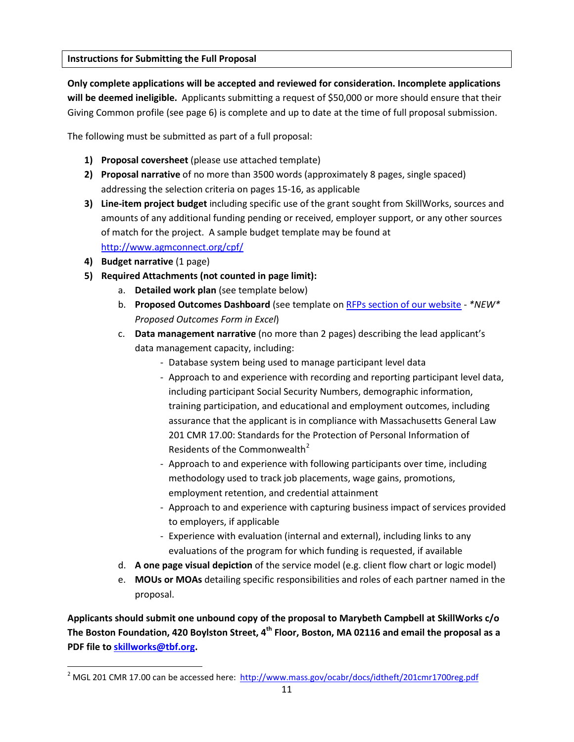### **Instructions for Submitting the Full Proposal**

**Only complete applications will be accepted and reviewed for consideration. Incomplete applications will be deemed ineligible.** Applicants submitting a request of \$50,000 or more should ensure that their Giving Common profile (see page 6) is complete and up to date at the time of full proposal submission.

The following must be submitted as part of a full proposal:

- **1) Proposal coversheet** (please use attached template)
- **2) Proposal narrative** of no more than 3500 words (approximately 8 pages, single spaced) addressing the selection criteria on pages 15-16, as applicable
- **3) Line-item project budget** including specific use of the grant sought from SkillWorks, sources and amounts of any additional funding pending or received, employer support, or any other sources of match for the project. A sample budget template may be found at <http://www.agmconnect.org/cpf/>
- **4) Budget narrative** (1 page)

 $\overline{\phantom{a}}$ 

- **5) Required Attachments (not counted in page limit):**
	- a. **Detailed work plan** (see template below)
	- b. **Proposed Outcomes Dashboard** (see template on [RFPs section of our website](http://www.skill-works.org/resources-rfps.php) *\*NEW\* Proposed Outcomes Form in Excel*)
	- c. **Data management narrative** (no more than 2 pages) describing the lead applicant's data management capacity, including:
		- Database system being used to manage participant level data
		- Approach to and experience with recording and reporting participant level data, including participant Social Security Numbers, demographic information, training participation, and educational and employment outcomes, including assurance that the applicant is in compliance with Massachusetts General Law 201 CMR 17.00: Standards for the Protection of Personal Information of Residents of the Commonwealth<sup>[2](#page-10-0)</sup>
		- Approach to and experience with following participants over time, including methodology used to track job placements, wage gains, promotions, employment retention, and credential attainment
		- Approach to and experience with capturing business impact of services provided to employers, if applicable
		- Experience with evaluation (internal and external), including links to any evaluations of the program for which funding is requested, if available
	- d. **A one page visual depiction** of the service model (e.g. client flow chart or logic model)
	- e. **MOUs or MOAs** detailing specific responsibilities and roles of each partner named in the proposal.

**Applicants should submit one unbound copy of the proposal to Marybeth Campbell at SkillWorks c/o The Boston Foundation, 420 Boylston Street, 4th Floor, Boston, MA 02116 and email the proposal as a PDF file t[o skillworks@tbf.org.](mailto:skillworks@tbf.org)** 

<span id="page-10-0"></span><sup>&</sup>lt;sup>2</sup> MGL 201 CMR 17.00 can be accessed here:<http://www.mass.gov/ocabr/docs/idtheft/201cmr1700reg.pdf>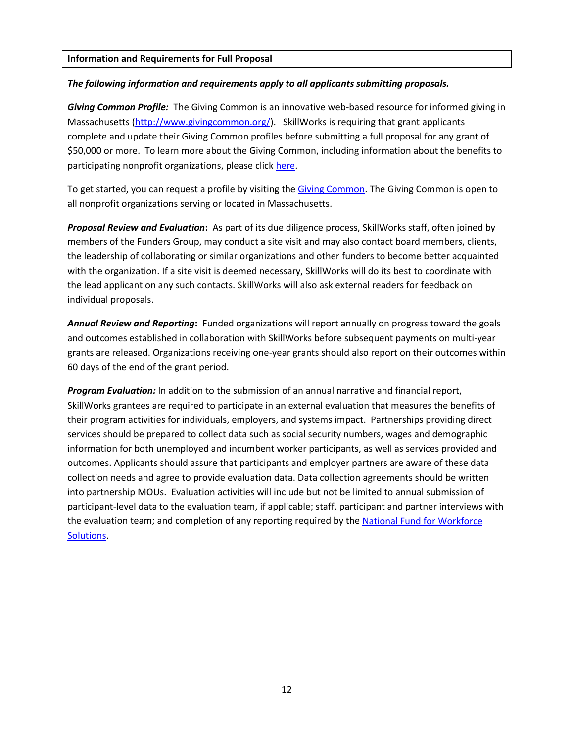#### **Information and Requirements for Full Proposal**

#### *The following information and requirements apply to all applicants submitting proposals.*

*Giving Common Profile:* The Giving Common is an innovative web-based resource for informed giving in Massachusetts [\(http://www.givingcommon.org/\)](http://www.givingcommon.org/). SkillWorks is requiring that grant applicants complete and update their Giving Common profiles before submitting a full proposal for any grant of \$50,000 or more. To learn more about the Giving Common, including information about the benefits to participating nonprofit organizations, please click [here.](http://www.givingcommon.org/)

To get started, you can request a profile by visiting the [Giving Common.](http://www.givingcommon.org/) The Giving Common is open to all nonprofit organizations serving or located in Massachusetts.

*Proposal Review and Evaluation***:** As part of its due diligence process, SkillWorks staff, often joined by members of the Funders Group, may conduct a site visit and may also contact board members, clients, the leadership of collaborating or similar organizations and other funders to become better acquainted with the organization. If a site visit is deemed necessary, SkillWorks will do its best to coordinate with the lead applicant on any such contacts. SkillWorks will also ask external readers for feedback on individual proposals.

*Annual Review and Reporting***:** Funded organizations will report annually on progress toward the goals and outcomes established in collaboration with SkillWorks before subsequent payments on multi-year grants are released. Organizations receiving one-year grants should also report on their outcomes within 60 days of the end of the grant period.

*Program Evaluation:* In addition to the submission of an annual narrative and financial report, SkillWorks grantees are required to participate in an external evaluation that measures the benefits of their program activities for individuals, employers, and systems impact. Partnerships providing direct services should be prepared to collect data such as social security numbers, wages and demographic information for both unemployed and incumbent worker participants, as well as services provided and outcomes. Applicants should assure that participants and employer partners are aware of these data collection needs and agree to provide evaluation data. Data collection agreements should be written into partnership MOUs. Evaluation activities will include but not be limited to annual submission of participant-level data to the evaluation team, if applicable; staff, participant and partner interviews with the evaluation team; and completion of any reporting required by th[e National Fund for Workforce](http://www.nfwsolutions.org/)  [Solutions.](http://www.nfwsolutions.org/)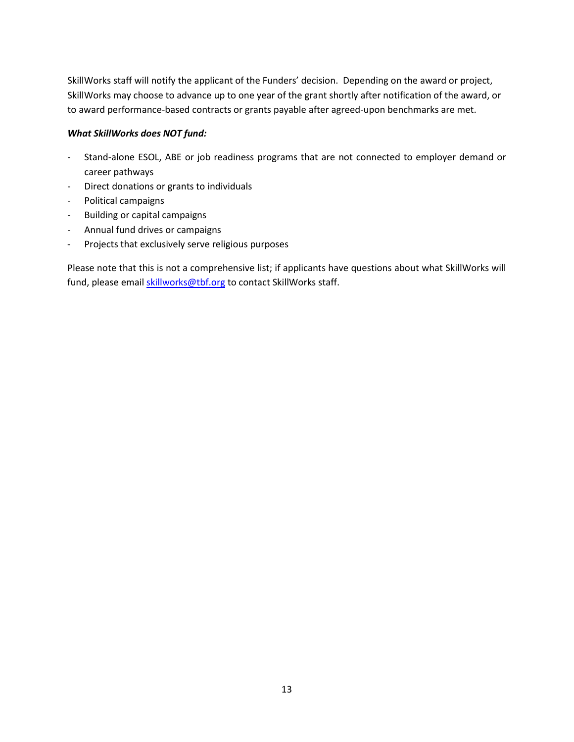SkillWorks staff will notify the applicant of the Funders' decision. Depending on the award or project, SkillWorks may choose to advance up to one year of the grant shortly after notification of the award, or to award performance-based contracts or grants payable after agreed-upon benchmarks are met.

### *What SkillWorks does NOT fund:*

- Stand-alone ESOL, ABE or job readiness programs that are not connected to employer demand or career pathways
- Direct donations or grants to individuals
- Political campaigns
- Building or capital campaigns
- Annual fund drives or campaigns
- Projects that exclusively serve religious purposes

Please note that this is not a comprehensive list; if applicants have questions about what SkillWorks will fund, please email **skillworks@tbf.org** to contact SkillWorks staff.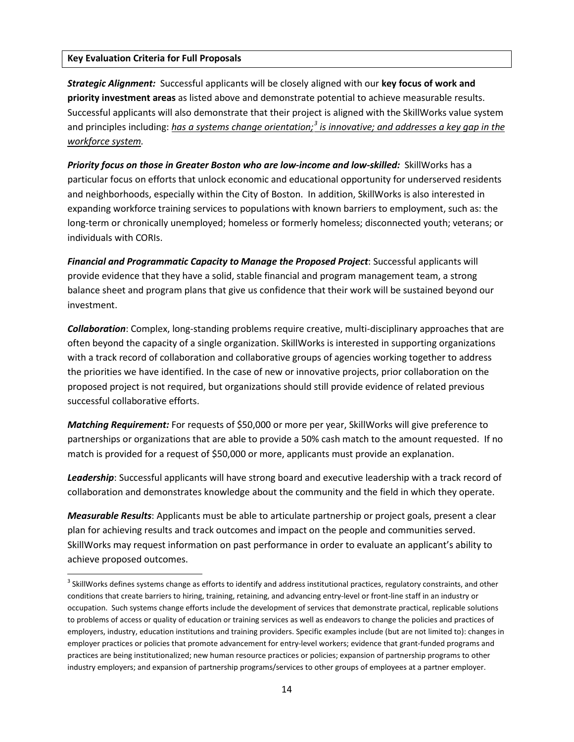#### **Key Evaluation Criteria for Full Proposals**

l

*Strategic Alignment:* Successful applicants will be closely aligned with our **key focus of work and priority investment areas** as listed above and demonstrate potential to achieve measurable results. Successful applicants will also demonstrate that their project is aligned with the SkillWorks value system and principles including: *has a systems change orientation; [3](#page-13-0) is innovative; and addresses a key gap in the workforce system.*

*Priority focus on those in Greater Boston who are low-income and low-skilled:* SkillWorks has a particular focus on efforts that unlock economic and educational opportunity for underserved residents and neighborhoods, especially within the City of Boston. In addition, SkillWorks is also interested in expanding workforce training services to populations with known barriers to employment, such as: the long-term or chronically unemployed; homeless or formerly homeless; disconnected youth; veterans; or individuals with CORIs.

*Financial and Programmatic Capacity to Manage the Proposed Project*: Successful applicants will provide evidence that they have a solid, stable financial and program management team, a strong balance sheet and program plans that give us confidence that their work will be sustained beyond our investment.

*Collaboration*: Complex, long-standing problems require creative, multi-disciplinary approaches that are often beyond the capacity of a single organization. SkillWorks is interested in supporting organizations with a track record of collaboration and collaborative groups of agencies working together to address the priorities we have identified. In the case of new or innovative projects, prior collaboration on the proposed project is not required, but organizations should still provide evidence of related previous successful collaborative efforts.

*Matching Requirement:* For requests of \$50,000 or more per year, SkillWorks will give preference to partnerships or organizations that are able to provide a 50% cash match to the amount requested. If no match is provided for a request of \$50,000 or more, applicants must provide an explanation.

*Leadership*: Successful applicants will have strong board and executive leadership with a track record of collaboration and demonstrates knowledge about the community and the field in which they operate.

*Measurable Results*: Applicants must be able to articulate partnership or project goals, present a clear plan for achieving results and track outcomes and impact on the people and communities served. SkillWorks may request information on past performance in order to evaluate an applicant's ability to achieve proposed outcomes.

<span id="page-13-0"></span><sup>&</sup>lt;sup>3</sup> SkillWorks defines systems change as efforts to identify and address institutional practices, regulatory constraints, and other conditions that create barriers to hiring, training, retaining, and advancing entry-level or front-line staff in an industry or occupation. Such systems change efforts include the development of services that demonstrate practical, replicable solutions to problems of access or quality of education or training services as well as endeavors to change the policies and practices of employers, industry, education institutions and training providers. Specific examples include (but are not limited to): changes in employer practices or policies that promote advancement for entry-level workers; evidence that grant-funded programs and practices are being institutionalized; new human resource practices or policies; expansion of partnership programs to other industry employers; and expansion of partnership programs/services to other groups of employees at a partner employer.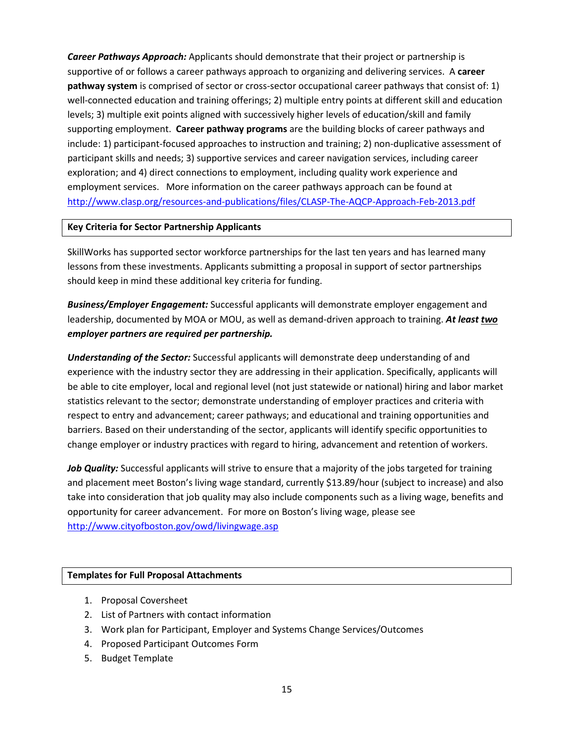*Career Pathways Approach:* Applicants should demonstrate that their project or partnership is supportive of or follows a career pathways approach to organizing and delivering services. A **career pathway system** is comprised of sector or cross-sector occupational career pathways that consist of: 1) well-connected education and training offerings; 2) multiple entry points at different skill and education levels; 3) multiple exit points aligned with successively higher levels of education/skill and family supporting employment. **Career pathway programs** are the building blocks of career pathways and include: 1) participant-focused approaches to instruction and training; 2) non-duplicative assessment of participant skills and needs; 3) supportive services and career navigation services, including career exploration; and 4) direct connections to employment, including quality work experience and employment services. More information on the career pathways approach can be found at <http://www.clasp.org/resources-and-publications/files/CLASP-The-AQCP-Approach-Feb-2013.pdf>

#### **Key Criteria for Sector Partnership Applicants**

SkillWorks has supported sector workforce partnerships for the last ten years and has learned many lessons from these investments. Applicants submitting a proposal in support of sector partnerships should keep in mind these additional key criteria for funding.

*Business/Employer Engagement:* Successful applicants will demonstrate employer engagement and leadership, documented by MOA or MOU, as well as demand-driven approach to training. *At least two employer partners are required per partnership.*

*Understanding of the Sector:* Successful applicants will demonstrate deep understanding of and experience with the industry sector they are addressing in their application. Specifically, applicants will be able to cite employer, local and regional level (not just statewide or national) hiring and labor market statistics relevant to the sector; demonstrate understanding of employer practices and criteria with respect to entry and advancement; career pathways; and educational and training opportunities and barriers. Based on their understanding of the sector, applicants will identify specific opportunities to change employer or industry practices with regard to hiring, advancement and retention of workers.

Job Quality: Successful applicants will strive to ensure that a majority of the jobs targeted for training and placement meet Boston's living wage standard, currently \$13.89/hour (subject to increase) and also take into consideration that job quality may also include components such as a living wage, benefits and opportunity for career advancement. For more on Boston's living wage, please see <http://www.cityofboston.gov/owd/livingwage.asp>

#### **Templates for Full Proposal Attachments**

- 1. Proposal Coversheet
- 2. List of Partners with contact information
- 3. Work plan for Participant, Employer and Systems Change Services/Outcomes
- 4. Proposed Participant Outcomes Form
- 5. Budget Template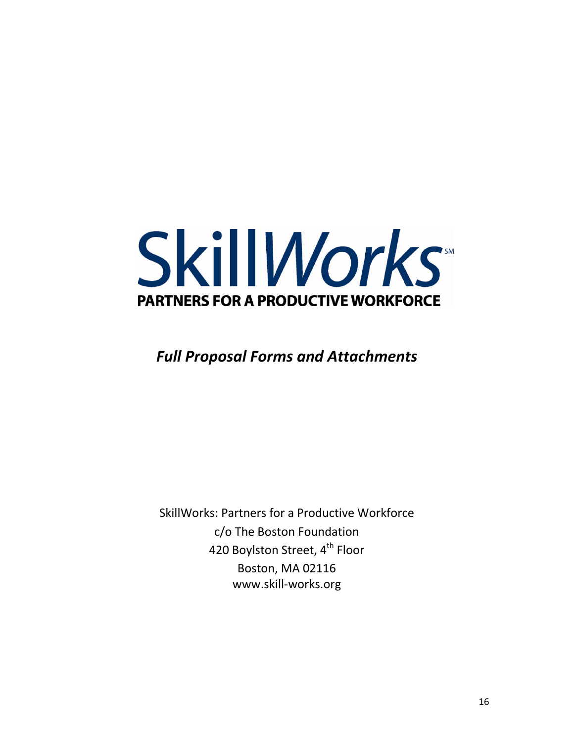

# *Full Proposal Forms and Attachments*

SkillWorks: Partners for a Productive Workforce c/o The Boston Foundation 420 Boylston Street, 4<sup>th</sup> Floor Boston, MA 02116 www.skill-works.org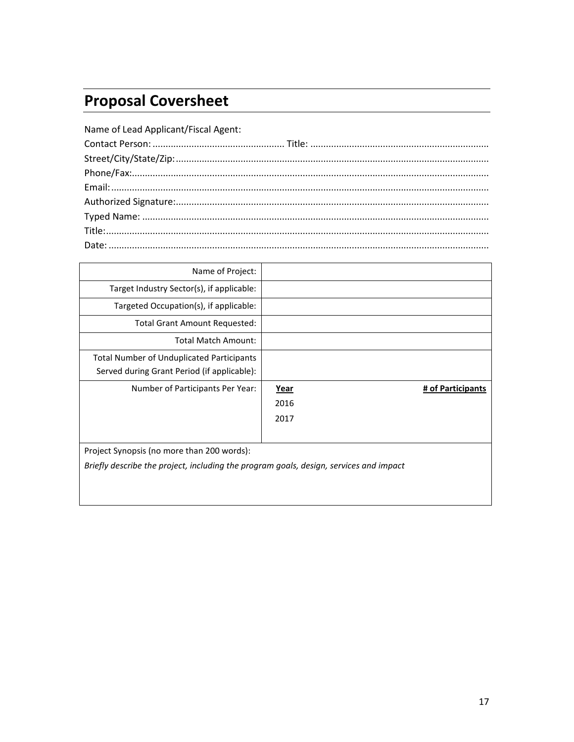# **Proposal Coversheet**

| Name of Lead Applicant/Fiscal Agent: |  |
|--------------------------------------|--|
|                                      |  |
|                                      |  |
|                                      |  |
|                                      |  |
|                                      |  |
|                                      |  |
|                                      |  |
|                                      |  |

| Name of Project:                                                                         |      |                   |
|------------------------------------------------------------------------------------------|------|-------------------|
| Target Industry Sector(s), if applicable:                                                |      |                   |
| Targeted Occupation(s), if applicable:                                                   |      |                   |
| <b>Total Grant Amount Requested:</b>                                                     |      |                   |
| <b>Total Match Amount:</b>                                                               |      |                   |
| Total Number of Unduplicated Participants<br>Served during Grant Period (if applicable): |      |                   |
|                                                                                          |      |                   |
| Number of Participants Per Year:                                                         | Year | # of Participants |
|                                                                                          | 2016 |                   |
|                                                                                          | 2017 |                   |
|                                                                                          |      |                   |
| Project Synopsis (no more than 200 words):                                               |      |                   |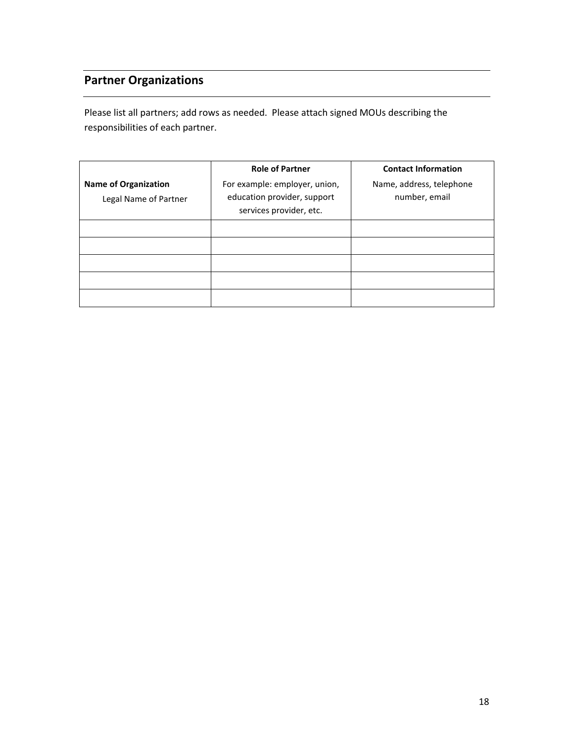# **Partner Organizations**

Please list all partners; add rows as needed. Please attach signed MOUs describing the responsibilities of each partner.

|                                                      | <b>Role of Partner</b>                                                                  | <b>Contact Information</b>                |
|------------------------------------------------------|-----------------------------------------------------------------------------------------|-------------------------------------------|
| <b>Name of Organization</b><br>Legal Name of Partner | For example: employer, union,<br>education provider, support<br>services provider, etc. | Name, address, telephone<br>number, email |
|                                                      |                                                                                         |                                           |
|                                                      |                                                                                         |                                           |
|                                                      |                                                                                         |                                           |
|                                                      |                                                                                         |                                           |
|                                                      |                                                                                         |                                           |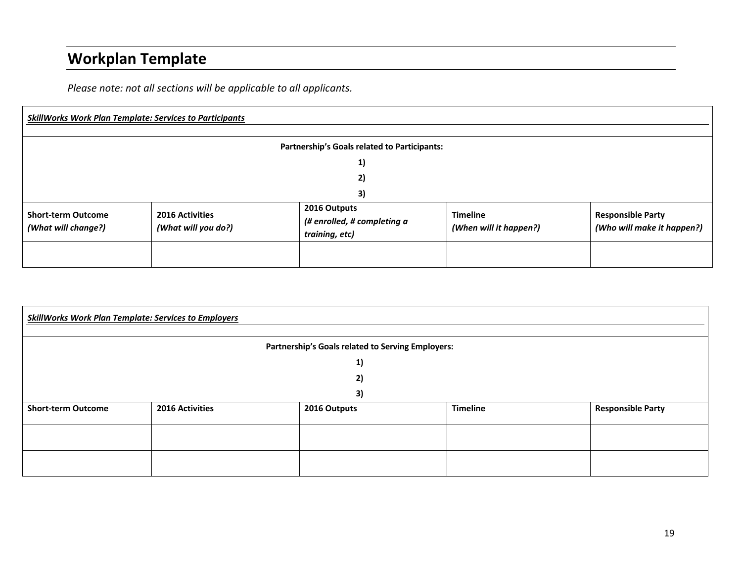# **Workplan Template**

*Please note: not all sections will be applicable to all applicants.*

| <b>SkillWorks Work Plan Template: Services to Participants</b> |                                               |                                                               |                                           |                                                        |
|----------------------------------------------------------------|-----------------------------------------------|---------------------------------------------------------------|-------------------------------------------|--------------------------------------------------------|
| <b>Partnership's Goals related to Participants:</b>            |                                               |                                                               |                                           |                                                        |
|                                                                |                                               | 1)                                                            |                                           |                                                        |
|                                                                |                                               | 2)                                                            |                                           |                                                        |
|                                                                |                                               | 3)                                                            |                                           |                                                        |
| <b>Short-term Outcome</b><br>(What will change?)               | <b>2016 Activities</b><br>(What will you do?) | 2016 Outputs<br>(# enrolled, # completing a<br>training, etc) | <b>Timeline</b><br>(When will it happen?) | <b>Responsible Party</b><br>(Who will make it happen?) |
|                                                                |                                               |                                                               |                                           |                                                        |

| <b>SkillWorks Work Plan Template: Services to Employers</b> |                 |              |                 |                          |  |
|-------------------------------------------------------------|-----------------|--------------|-----------------|--------------------------|--|
| Partnership's Goals related to Serving Employers:           |                 |              |                 |                          |  |
|                                                             |                 | 1)           |                 |                          |  |
|                                                             |                 | 2)           |                 |                          |  |
|                                                             |                 | 3)           |                 |                          |  |
| <b>Short-term Outcome</b>                                   | 2016 Activities | 2016 Outputs | <b>Timeline</b> | <b>Responsible Party</b> |  |
|                                                             |                 |              |                 |                          |  |
|                                                             |                 |              |                 |                          |  |